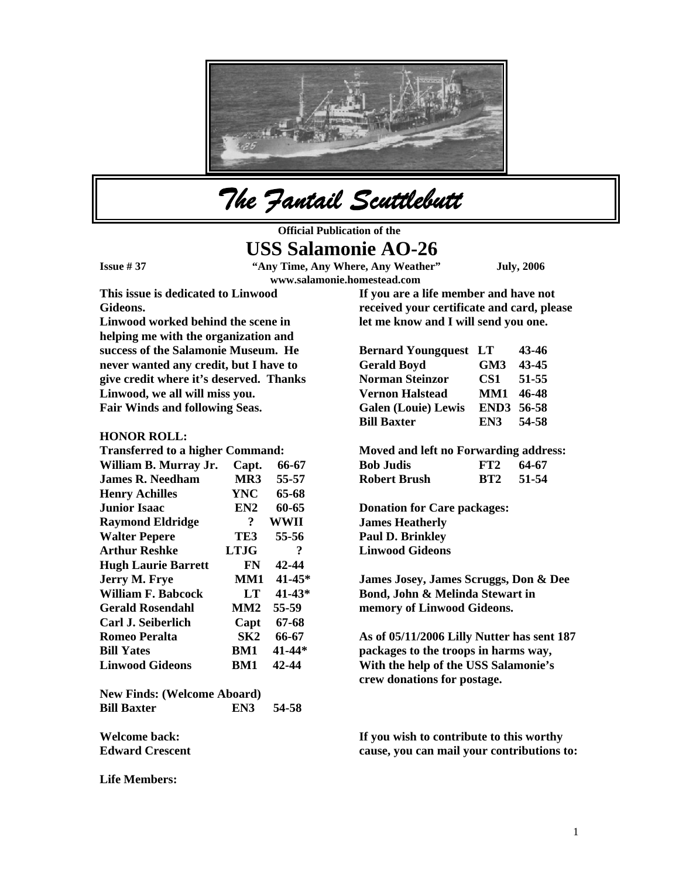

*The Fantail Scuttlebutt* 

**Official Publication of the** 

# **USS Salamonie AO-26**

**Issue # 37 "Any Time, Any Where, Any Weather" July, 2006 www.salamonie.homestead.com**

**This issue is dedicated to Linwood Gideons.** 

**Linwood worked behind the scene in helping me with the organization and success of the Salamonie Museum. He never wanted any credit, but I have to give credit where it's deserved. Thanks Linwood, we all will miss you. Fair Winds and following Seas.** 

### **HONOR ROLL:**

| <b>Transferred to a higher Command:</b> |                |            |
|-----------------------------------------|----------------|------------|
| William B. Murray Jr.                   | Capt.          | 66-67      |
| James R. Needham                        | MR3            | 55-57      |
| <b>Henry Achilles</b>                   | <b>YNC</b>     | 65-68      |
| <b>Junior Isaac</b>                     | EN2            | 60-65      |
| <b>Raymond Eldridge</b>                 | $\overline{?}$ | WWII       |
| <b>Walter Pepere</b>                    | TE3            | 55-56      |
| <b>Arthur Reshke</b>                    | <b>LTJG</b>    | ?          |
| <b>Hugh Laurie Barrett</b>              | FN             | 42-44      |
| Jerry M. Frye                           | MM1            | 41-45*     |
| William F. Babcock                      | LT             | $41 - 43*$ |
| <b>Gerald Rosendahl</b>                 | MM2            | 55-59      |
| Carl J. Seiberlich                      | Capt           | 67-68      |
| <b>Romeo Peralta</b>                    | SK2            | 66-67      |
| <b>Bill Yates</b>                       | BM1            | 41-44*     |
| <b>Linwood Gideons</b>                  | BM1            | 42-44      |
| <b>New Finds: (Welcome Aboard)</b>      |                |            |
| <b>Bill Baxter</b>                      | EN3            | 54-58      |

**Welcome back: Edward Crescent** 

**Life Members:** 

**If you are a life member and have not received your certificate and card, please let me know and I will send you one.** 

| <b>Bernard Youngquest LT</b> |                 | 43-46 |
|------------------------------|-----------------|-------|
| <b>Gerald Boyd</b>           | GM <sub>3</sub> | 43-45 |
| <b>Norman Steinzor</b>       | CS1             | 51-55 |
| <b>Vernon Halstead</b>       | MM1 46-48       |       |
| <b>Galen (Louie) Lewis</b>   | END3 56-58      |       |
| <b>Bill Baxter</b>           | EN3 54-58       |       |

**Moved and left no Forwarding address: Bob Judis FT2 64-67 Robert Brush BT2 51-54** 

**Donation for Care packages: James Heatherly Paul D. Brinkley Linwood Gideons** 

**James Josey, James Scruggs, Don & Dee Bond, John & Melinda Stewart in memory of Linwood Gideons.** 

**As of 05/11/2006 Lilly Nutter has sent 187 packages to the troops in harms way, With the help of the USS Salamonie's crew donations for postage.** 

**If you wish to contribute to this worthy cause, you can mail your contributions to:**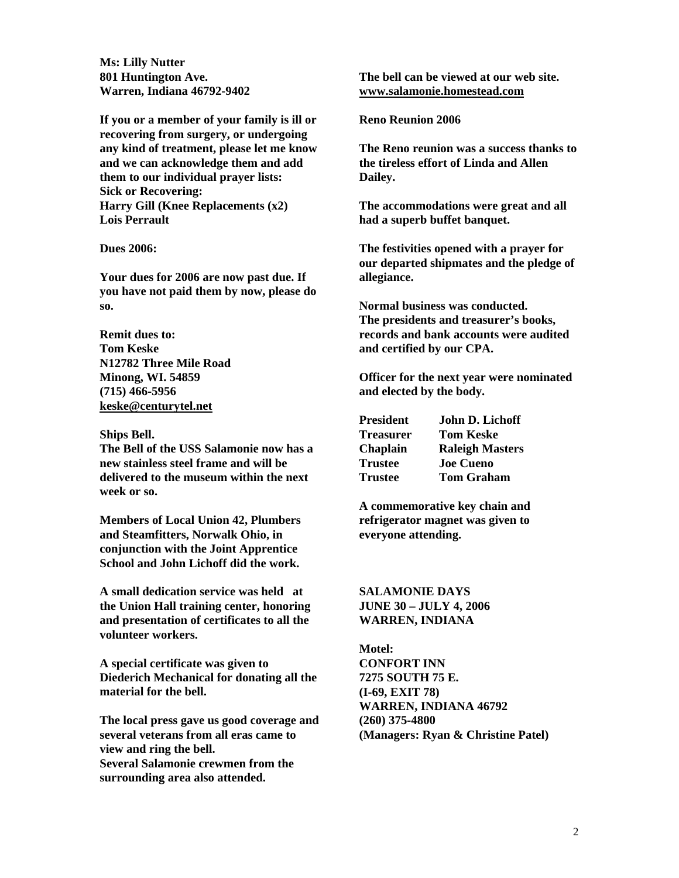**Ms: Lilly Nutter 801 Huntington Ave. Warren, Indiana 46792-9402** 

**If you or a member of your family is ill or recovering from surgery, or undergoing any kind of treatment, please let me know and we can acknowledge them and add them to our individual prayer lists: Sick or Recovering: Harry Gill (Knee Replacements (x2) Lois Perrault** 

**Dues 2006:** 

**Your dues for 2006 are now past due. If you have not paid them by now, please do so.** 

**Remit dues to: Tom Keske N12782 Three Mile Road Minong, WI. 54859 (715) 466-5956 [keske@centurytel.net](mailto:keske@centurytel.net)**

#### **Ships Bell.**

**The Bell of the USS Salamonie now has a new stainless steel frame and will be delivered to the museum within the next week or so.** 

**Members of Local Union 42, Plumbers and Steamfitters, Norwalk Ohio, in conjunction with the Joint Apprentice School and John Lichoff did the work.** 

**A small dedication service was held at the Union Hall training center, honoring and presentation of certificates to all the volunteer workers.** 

**A special certificate was given to Diederich Mechanical for donating all the material for the bell.** 

**The local press gave us good coverage and several veterans from all eras came to view and ring the bell. Several Salamonie crewmen from the surrounding area also attended.** 

**The bell can be viewed at our web site. [www.salamonie.homestead.com](http://www.salamonie.homestead.com/)**

**Reno Reunion 2006** 

**The Reno reunion was a success thanks to the tireless effort of Linda and Allen Dailey.** 

**The accommodations were great and all had a superb buffet banquet.** 

**The festivities opened with a prayer for our departed shipmates and the pledge of allegiance.** 

**Normal business was conducted. The presidents and treasurer's books, records and bank accounts were audited and certified by our CPA.** 

**Officer for the next year were nominated and elected by the body.** 

| President       | John D. Lichoff        |
|-----------------|------------------------|
| Treasurer       | <b>Tom Keske</b>       |
| <b>Chaplain</b> | <b>Raleigh Masters</b> |
| Trustee         | <b>Joe Cueno</b>       |
| Trustee         | <b>Tom Graham</b>      |

**A commemorative key chain and refrigerator magnet was given to everyone attending.** 

**SALAMONIE DAYS JUNE 30 – JULY 4, 2006 WARREN, INDIANA** 

**Motel: CONFORT INN 7275 SOUTH 75 E. (I-69, EXIT 78) WARREN, INDIANA 46792 (260) 375-4800 (Managers: Ryan & Christine Patel)**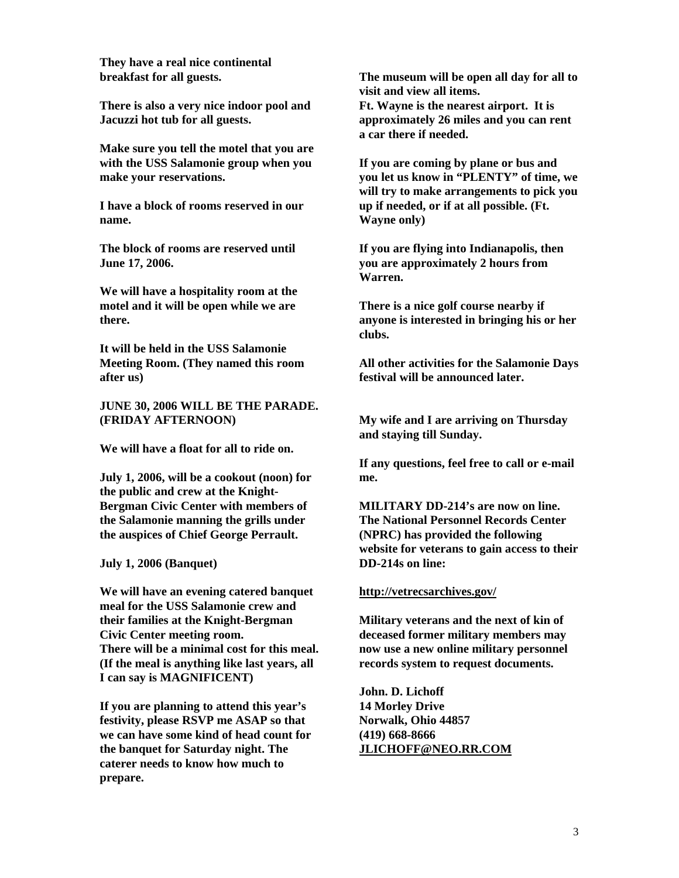**They have a real nice continental breakfast for all guests.** 

**There is also a very nice indoor pool and Jacuzzi hot tub for all guests.** 

**Make sure you tell the motel that you are with the USS Salamonie group when you make your reservations.** 

**I have a block of rooms reserved in our name.** 

**The block of rooms are reserved until June 17, 2006.** 

**We will have a hospitality room at the motel and it will be open while we are there.** 

**It will be held in the USS Salamonie Meeting Room. (They named this room after us)** 

**JUNE 30, 2006 WILL BE THE PARADE. (FRIDAY AFTERNOON)** 

**We will have a float for all to ride on.** 

**July 1, 2006, will be a cookout (noon) for the public and crew at the Knight-Bergman Civic Center with members of the Salamonie manning the grills under the auspices of Chief George Perrault.** 

**July 1, 2006 (Banquet)** 

**We will have an evening catered banquet meal for the USS Salamonie crew and their families at the Knight-Bergman Civic Center meeting room. There will be a minimal cost for this meal. (If the meal is anything like last years, all I can say is MAGNIFICENT)** 

**If you are planning to attend this year's festivity, please RSVP me ASAP so that we can have some kind of head count for the banquet for Saturday night. The caterer needs to know how much to prepare.** 

**The museum will be open all day for all to visit and view all items. Ft. Wayne is the nearest airport. It is approximately 26 miles and you can rent a car there if needed.** 

**If you are coming by plane or bus and you let us know in "PLENTY" of time, we will try to make arrangements to pick you up if needed, or if at all possible. (Ft. Wayne only)** 

**If you are flying into Indianapolis, then you are approximately 2 hours from Warren.** 

**There is a nice golf course nearby if anyone is interested in bringing his or her clubs.** 

**All other activities for the Salamonie Days festival will be announced later.** 

**My wife and I are arriving on Thursday and staying till Sunday.** 

**If any questions, feel free to call or e-mail me.** 

**MILITARY DD-214's are now on line. The National Personnel Records Center (NPRC) has provided the following website for veterans to gain access to their DD-214s on line:** 

#### **<http://vetrecsarchives.gov/>**

**Military veterans and the next of kin of deceased former military members may now use a new online military personnel records system to request documents.** 

**John. D. Lichoff 14 Morley Drive Norwalk, Ohio 44857 (419) 668-8666 [JLICHOFF@NEO.RR.COM](mailto:JLICHOFF@NEO.RR.COM)**